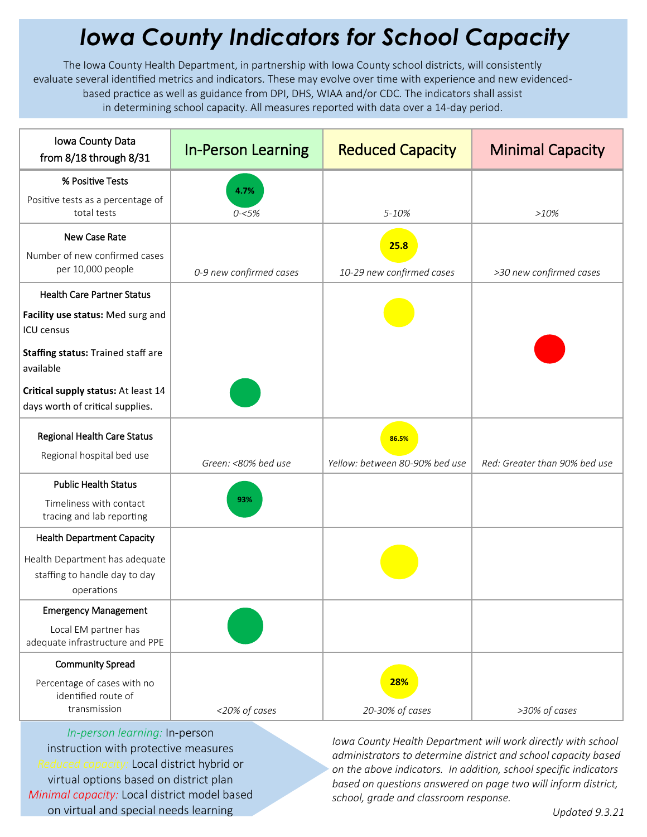## *Iowa County Indicators for School Capacity*

The Iowa County Health Department, in partnership with Iowa County school districts, will consistently evaluate several identified metrics and indicators. These may evolve over time with experience and new evidencedbased practice as well as guidance from DPI, DHS, WIAA and/or CDC. The indicators shall assist in determining school capacity. All measures reported with data over a 14-day period.

| Iowa County Data<br>from 8/18 through 8/31                                    | <b>In-Person Learning</b> | <b>Reduced Capacity</b>        | <b>Minimal Capacity</b>       |
|-------------------------------------------------------------------------------|---------------------------|--------------------------------|-------------------------------|
| % Positive Tests                                                              | 4.7%                      |                                |                               |
| Positive tests as a percentage of<br>total tests                              | $0 - 5%$                  | 5-10%                          | >10%                          |
| New Case Rate                                                                 |                           | 25.8                           |                               |
| Number of new confirmed cases<br>per 10,000 people                            | 0-9 new confirmed cases   | 10-29 new confirmed cases      | >30 new confirmed cases       |
| <b>Health Care Partner Status</b>                                             |                           |                                |                               |
| Facility use status: Med surg and<br><b>ICU</b> census                        |                           |                                |                               |
| Staffing status: Trained staff are<br>available                               |                           |                                |                               |
| Critical supply status: At least 14<br>days worth of critical supplies.       |                           |                                |                               |
| <b>Regional Health Care Status</b>                                            |                           | 86.5%                          |                               |
| Regional hospital bed use                                                     | Green: <80% bed use       | Yellow: between 80-90% bed use | Red: Greater than 90% bed use |
| <b>Public Health Status</b>                                                   |                           |                                |                               |
| Timeliness with contact<br>tracing and lab reporting                          | 93%                       |                                |                               |
| <b>Health Department Capacity</b>                                             |                           |                                |                               |
| Health Department has adequate<br>staffing to handle day to day<br>operations |                           |                                |                               |
| <b>Emergency Management</b>                                                   |                           |                                |                               |
| Local EM partner has<br>adequate infrastructure and PPE                       |                           |                                |                               |
| <b>Community Spread</b>                                                       |                           |                                |                               |
| Percentage of cases with no<br>identified route of                            |                           | 28%                            |                               |
| transmission                                                                  | <20% of cases             | 20-30% of cases                | >30% of cases                 |

*In-person learning:* In-person instruction with protective measures *Reduced capacity:* Local district hybrid or virtual options based on district plan *Minimal capacity:* Local district model based on virtual and special needs learning

*Iowa County Health Department will work directly with school administrators to determine district and school capacity based on the above indicators. In addition, school specific indicators based on questions answered on page two will inform district, school, grade and classroom response.*